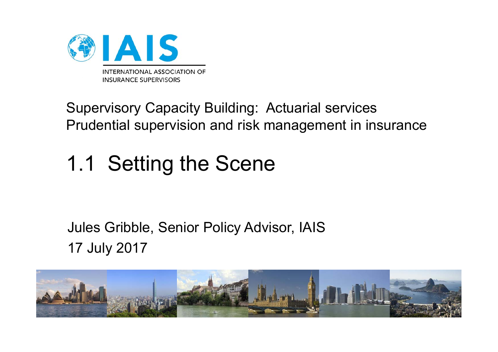

#### Supervisory Capacity Building: Actuarial services Prudential supervision and risk management in insurance

# 1.1 Setting the Scene

#### Jules Gribble, Senior Policy Advisor, IAIS 17 July 2017

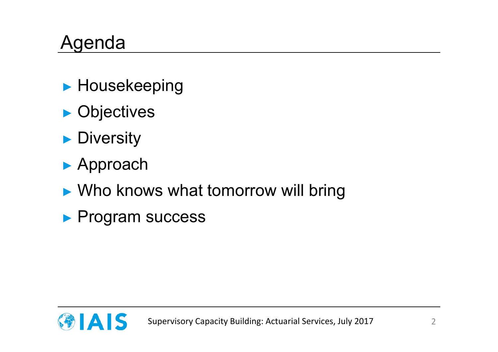## Agenda

- ► Housekeeping
- ► Objectives
- ► Diversity
- ► Approach
- ► Who knows what tomorrow will bring
- ► Program success

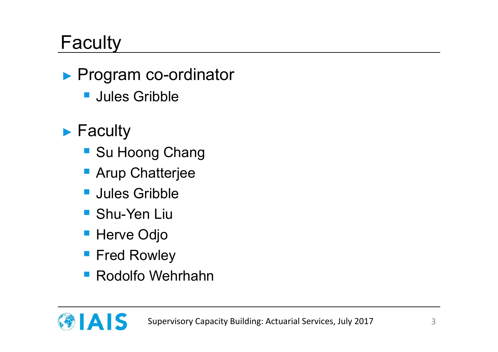# Faculty

- ► Program co-ordinator
	- Jules Gribble
- ► Faculty
	- Su Hoong Chang
	- **Arup Chatterjee**
	- **Service Service** Jules Gribble
	- Shu-Yen Liu
	- **Herve Odjo**
	- **Fred Rowley**
	- Rodolfo Wehrhahn

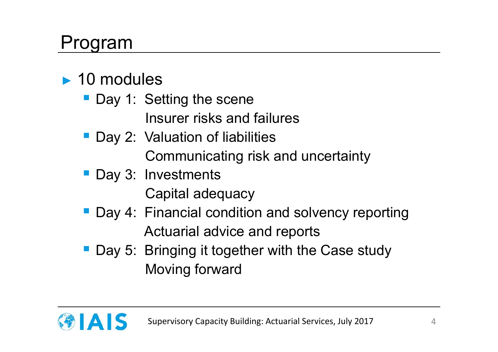## Program

#### ► 10 modules

- **Day 1: Setting the scene** 
	- Insurer risks and failures
- **Day 2: Valuation of liabilities**

Communicating risk and uncertainty

**Day 3: Investments** 

Capital adequacy

- Day 4: Financial condition and solvency reporting Actuarial advice and reports
- Day 5: Bringing it together with the Case study Moving forward

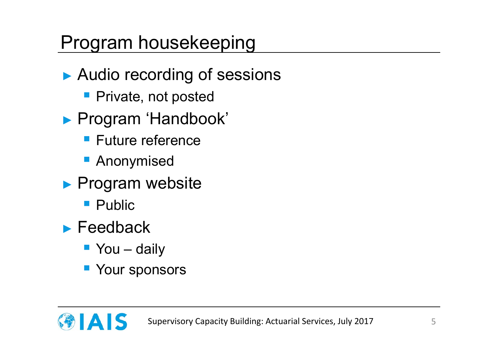## Program housekeeping

- ▶ Audio recording of sessions
	- **Private, not posted**
- ► Program 'Handbook'
	- **Future reference**
	- **Anonymised**
- ► Program website
	- **Public**
- ► Feedback
	- You daily
	- **P** Your sponsors

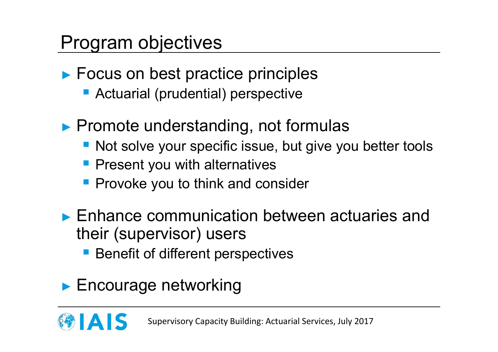### Program objectives

- ► Focus on best practice principles
	- **Actuarial (prudential) perspective**
- ► Promote understanding, not formulas
	- **Not solve your specific issue, but give you better tools**
	- **Present you with alternatives**
	- **Provoke you to think and consider**
- ► Enhance communication between actuaries and their (supervisor) users
	- **Benefit of different perspectives**
- ► Encourage networking

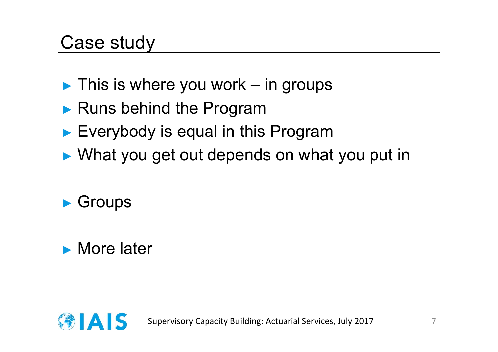### Case study

- ► This is where you work in groups
- ► Runs behind the Program
- ► Everybody is equal in this Program
- ► What you get out depends on what you put in

#### ► Groups

#### ► More later

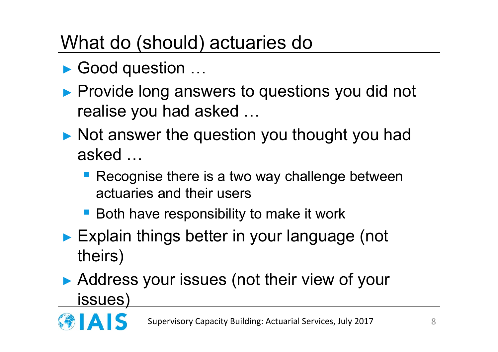# What do (should) actuaries do

- ► Good question …
- ▶ Provide long answers to questions you did not realise you had asked …
- ► Not answer the question you thought you had asked …
	- **Recognise there is a two way challenge between** actuaries and their users
	- Both have responsibility to make it work
- ► Explain things better in your language (not theirs)
- ► Address your issues (not their view of your issues)

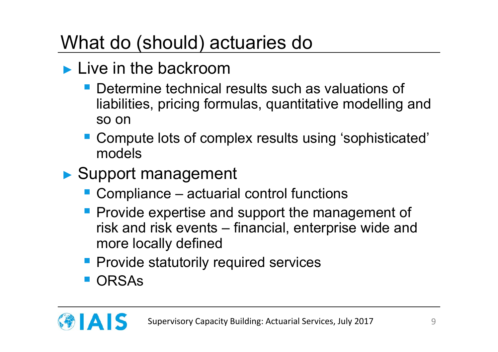## What do (should) actuaries do

- ► Live in the backroom
	- **Determine technical results such as valuations of** liabilities, pricing formulas, quantitative modelling and so on
	- **Service Service**  Compute lots of complex results using 'sophisticated' models
- ► Support management
	- Compliance actuarial control functions
	- **Provide expertise and support the management of** risk and risk events – financial, enterprise wide and more locally defined
	- **Provide statutorily required services**
	- ORSAs

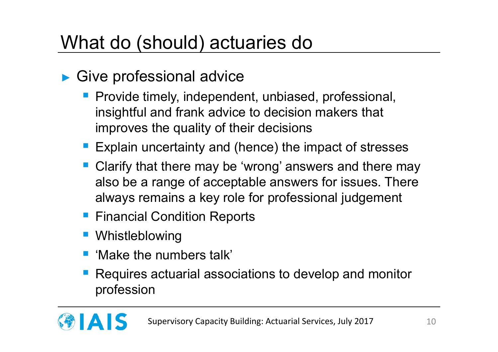## What do (should) actuaries do

#### ▶ Give professional advice

- **Contract Contract Contract Contract Contract Contract Contract Contract Contract Contract Contract Contract Co**  Provide timely, independent, unbiased, professional, insightful and frank advice to decision makers that improves the quality of their decisions
- **Explain uncertainty and (hence) the impact of stresses**
- **Service Service**  Clarify that there may be 'wrong' answers and there may also be a range of acceptable answers for issues. There always remains a key role for professional judgement
- **Service Service** Financial Condition Reports
- Whistleblowing
- **Service Service** 'Make the numbers talk'
- Requires actuarial associations to develop and monitor profession

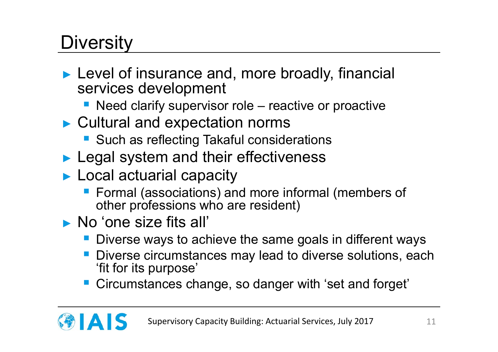# **Diversity**

- ► Level of insurance and, more broadly, financial services development
	- **Need clarify supervisor role reactive or proactive**
- ► Cultural and expectation norms
	- **Such as reflecting Takaful considerations**
- ► Legal system and their effectiveness
- ► Local actuarial capacity
	- Formal (associations) and more informal (members of other professions who are resident)
- ► No 'one size fits all'
	- **Diverse ways to achieve the same goals in different ways**
	- Diverse circumstances may lead to diverse solutions, each 'fit for its purpose'
	- Circumstances change, so danger with 'set and forget'

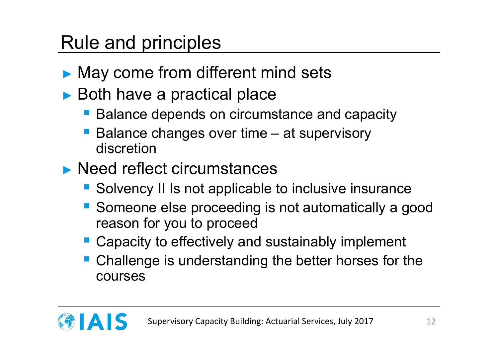## Rule and principles

- ► May come from different mind sets
- ► Both have a practical place
	- Balance depends on circumstance and capacity
	- Balance changes over time at supervisory discretion
- ► Need reflect circumstances
	- Solvency II Is not applicable to inclusive insurance
	- Someone else proceeding is not automatically a good reason for you to proceed
	- Capacity to effectively and sustainably implement
	- Challenge is understanding the better horses for the courses

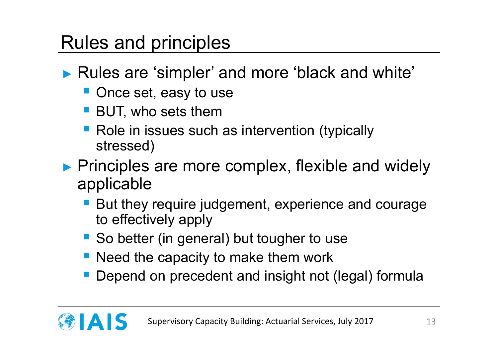## Rules and principles

► Rules are 'simpler' and more 'black and white'

- **Once set, easy to use**
- BUT, who sets them
- Role in issues such as intervention (typically stressed)
- ► Principles are more complex, flexible and widely applicable
	- But they require judgement, experience and courage to effectively apply
	- So better (in general) but tougher to use
	- **Need the capacity to make them work**
	- Depend on precedent and insight not (legal) formula

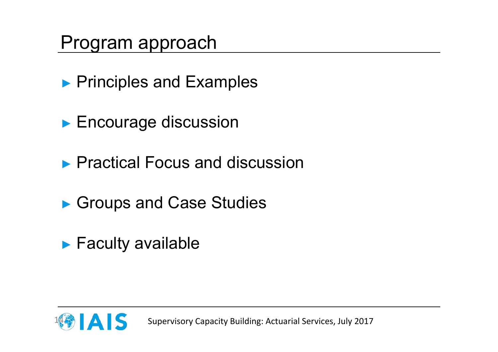#### Program approach

- ▶ Principles and Examples
- ▶ Encourage discussion
- ▶ Practical Focus and discussion
- ▶ Groups and Case Studies
- ► Faculty available

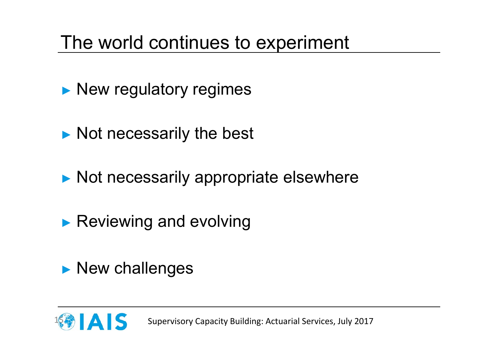## The world continues to experiment

- ▶ New regulatory regimes
- ► Not necessarily the best
- ► Not necessarily appropriate elsewhere
- ▶ Reviewing and evolving



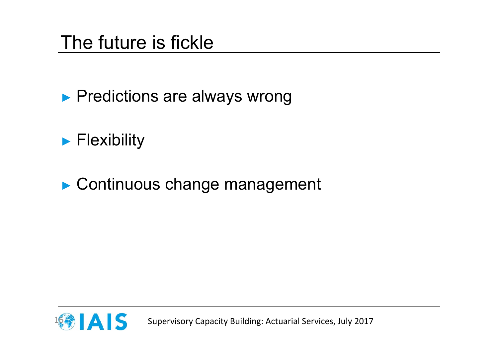#### The future is fickle

▶ Predictions are always wrong

#### ► Flexibility

▶ Continuous change management



**Supervisory Capacity Building: Actuarial Services, July 2017**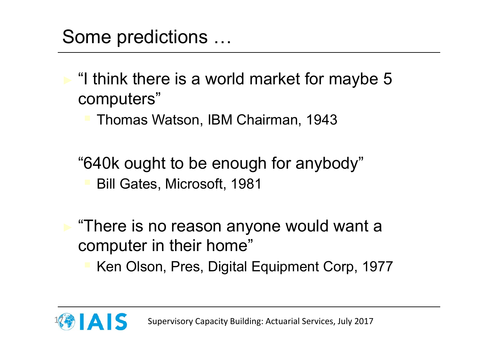Some predictions …

 $\blacktriangleright$  "I think there is a world market for maybe 5 computers"

Thomas Watson, IBM Chairman, 1943

"640k ought to be enough for anybody"

Bill Gates, Microsoft, 1981

 "There is no reason anyone would want a computer in their home"

Ken Olson, Pres, Digital Equipment Corp, 1977

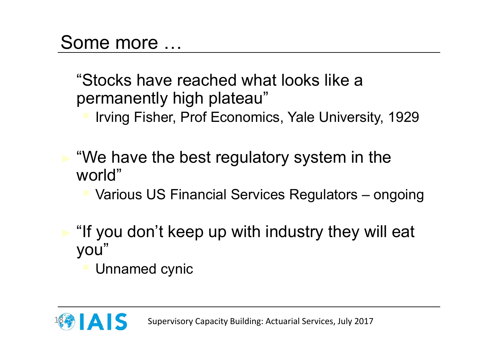#### Some more …

"Stocks have reached what looks like a permanently high plateau"

- Irving Fisher, Prof Economics, Yale University, 1929
- "We have the best regulatory system in the world"
	- Various US Financial Services Regulators ongoing
- "If you don't keep up with industry they will eat you"

Unnamed cynic

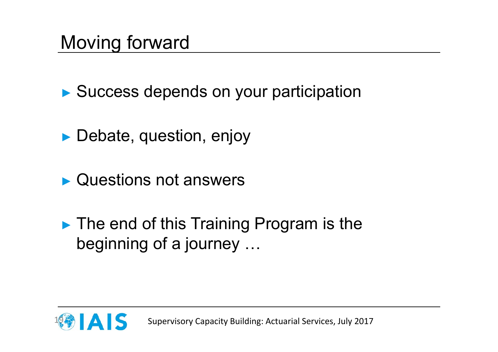### Moving forward

► Success depends on your participation

- ► Debate, question, enjoy
- ► Questions not answers
- ► The end of this Training Program is the beginning of a journey …

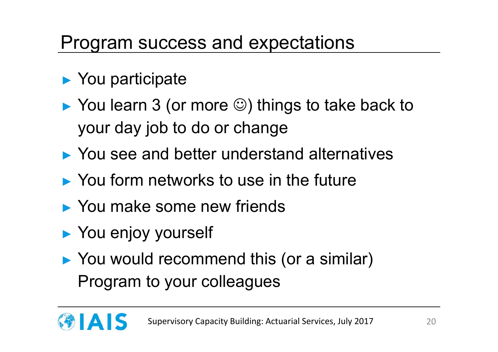### Program success and expectations

- ► You participate
- ► You learn 3 (or more  $\circledcirc$ ) things to take back to your day job to do or change
- ► You see and better understand alternatives
- ► You form networks to use in the future
- ► You make some new friends
- ► You enjoy yourself
- ► You would recommend this (or a similar) Program to your colleagues